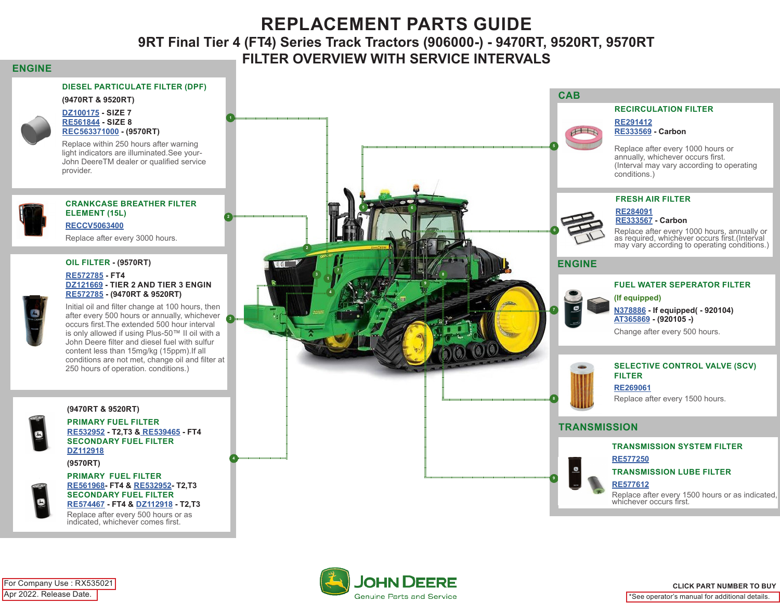# **REPLACEMENT PARTS GUIDE 9RT Final Tier 4 (FT4) Series Track Tractors (906000-) - 9470RT, 9520RT, 9570RT FILTER OVERVIEW WITH SERVICE INTERVALS**

### **ENGINE**

### **DIESEL PARTICULATE FILTER (DPF)**





#### **[DZ100175](https://jdparts.deere.com/servlet/com.deere.u90.jdparts.view.servlets.partinfocontroller.PartDetails?screenName=JDSearch&&partSearchNumber=DZ100175) - SIZE 7 [RE561844](https://jdparts.deere.com/servlet/com.deere.u90.jdparts.view.servlets.partinfocontroller.PartDetails?screenName=JDSearch&&partSearchNumber=RE561844) - SIZE 8 [REC563371000](https://jdparts.deere.com/servlet/com.deere.u90.jdparts.view.servlets.partinfocontroller.PartDetails?screenName=JDSearch&&partSearchNumber=REC563371000) - (9570RT)**

Replace within 250 hours after warning light indicators are illuminated.See your-John DeereTM dealer or qualified service provider.

### **CRANKCASE BREATHER FILTER ELEMENT (15L) [RECCV5063400](https://jdparts.deere.com/servlet/com.deere.u90.jdparts.view.servlets.partinfocontroller.PartDetails?screenName=JDSearch&&partSearchNumber=RECCV5063400)**

Replace after every 3000 hours.

#### **OIL FILTER - (9570RT)**

#### **[RE572785](https://jdparts.deere.com/servlet/com.deere.u90.jdparts.view.servlets.partinfocontroller.PartDetails?screenName=JDSearch&&partSearchNumber=RE572785) - FT4 [DZ121669](https://jdparts.deere.com/servlet/com.deere.u90.jdparts.view.servlets.partinfocontroller.PartDetails?screenName=JDSearch&&partSearchNumber=DZ121669) - TIER 2 AND TIER 3 ENGIN [RE572785](https://jdparts.deere.com/servlet/com.deere.u90.jdparts.view.servlets.partinfocontroller.PartDetails?screenName=JDSearch&&partSearchNumber=RE572785 ) - (9470RT & 9520RT)**

Initial oil and filter change at 100 hours, then after every 500 hours or annually, whichever s occurs first.The extended 500 hour interval is only allowed if using Plus-50™ II oil with a John Deere filter and diesel fuel with sulfur content less than 15mg/kg (15ppm).If all conditions are not met, change oil and filter at 250 hours of operation. conditions.)

### **(9470RT & 9520RT)**



**PRIMARY FUEL FILTER [RE532952](https://jdparts.deere.com/servlet/com.deere.u90.jdparts.view.servlets.partinfocontroller.PartDetails?screenName=JDSearch&&partSearchNumber=/RE532952) - T2,T3 [& RE539465](https://jdparts.deere.com/servlet/com.deere.u90.jdparts.view.servlets.partinfocontroller.PartDetails?screenName=JDSearch&&partSearchNumber=RE539465) - FT4 SECONDARY FUEL FILTER [DZ112918](https://jdparts.deere.com/servlet/com.deere.u90.jdparts.view.servlets.partinfocontroller.PartDetails?screenName=JDSearch&&partSearchNumber=DZ112918)**

**(9570RT)**



**PRIMARY FUEL FILTER [RE561968](https://jdparts.deere.com/servlet/com.deere.u90.jdparts.view.servlets.partinfocontroller.PartDetails?screenName=JDSearch&&partSearchNumber=RE561968)- FT4 & [RE532952](https://jdparts.deere.com/servlet/com.deere.u90.jdparts.view.servlets.partinfocontroller.PartDetails?screenName=JDSearch&&partSearchNumber=RE532952)- T2,T3 SECONDARY FUEL FILTER [RE574467](https://jdparts.deere.com/servlet/com.deere.u90.jdparts.view.servlets.partinfocontroller.PartDetails?screenName=JDSearch&&partSearchNumber=RE574467) - FT4 & [DZ112918](https://jdparts.deere.com/servlet/com.deere.u90.jdparts.view.servlets.partinfocontroller.PartDetails?screenName=JDSearch&&partSearchNumber=DZ112918) - T2,T3**

Replace after every 500 hours or as indicated, whichever comes first.



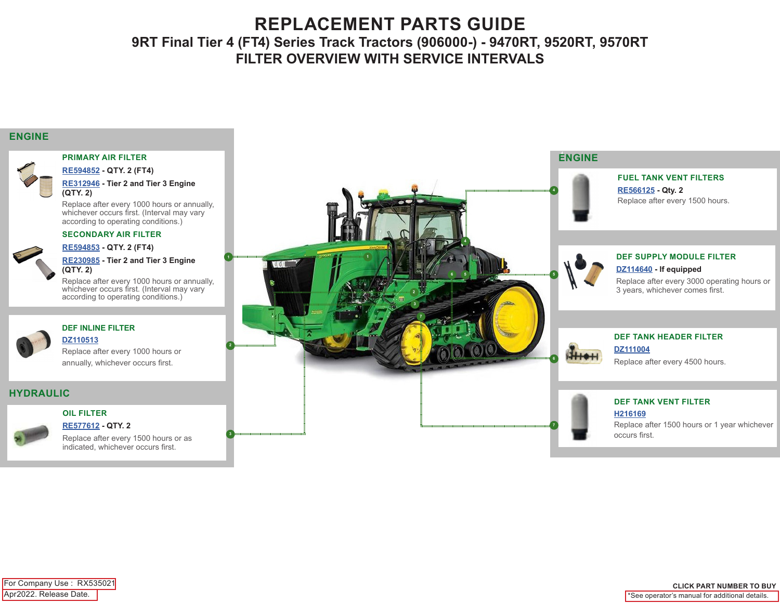# **REPLACEMENT PARTS GUIDE 9RT Final Tier 4 (FT4) Series Track Tractors (906000-) - 9470RT, 9520RT, 9570RT FILTER OVERVIEW WITH SERVICE INTERVALS**

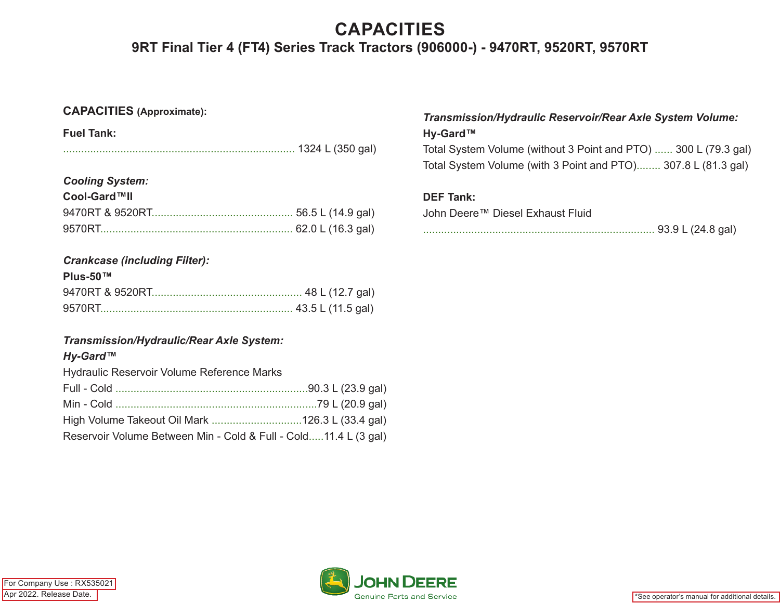# **CAPACITIES 9RT Final Tier 4 (FT4) Series Track Tractors (906000-) - 9470RT, 9520RT, 9570RT**

## **CAPACITIES (Approximate):**

| <b>Fuel Tank:</b> |  |
|-------------------|--|
|                   |  |

### *Cooling System:*

| Cool-Gard™II |  |  |  |  |
|--------------|--|--|--|--|
|              |  |  |  |  |
|              |  |  |  |  |

## *Crankcase (including Filter):*

### **Plus-50™**

## *Transmission/Hydraulic/Rear Axle System:*

## *Hy-Gard™*

Hydraulic Reservoir Volume Reference Marks

| Reservoir Volume Between Min - Cold & Full - Cold11.4 L (3 gal) |  |
|-----------------------------------------------------------------|--|

## *Transmission/Hydraulic Reservoir/Rear Axle System Volume:* **Hy-Gard™**

Total System Volume (without 3 Point and PTO) ...... 300 L (79.3 gal) Total System Volume (with 3 Point and PTO)........ 307.8 L (81.3 gal)

## **DEF Tank:**

John Deere™ Diesel Exhaust Fluid

|--|--|--|--|